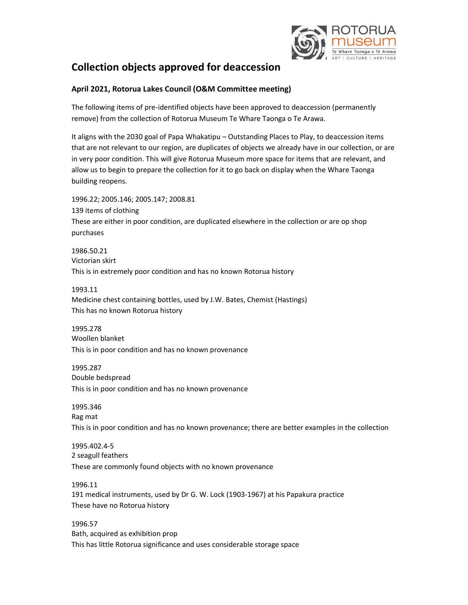

# Collection objects approved for deaccession

# April 2021, Rotorua Lakes Council (O&M Committee meeting)

The following items of pre-identified objects have been approved to deaccession (permanently remove) from the collection of Rotorua Museum Te Whare Taonga o Te Arawa.

It aligns with the 2030 goal of Papa Whakatipu – Outstanding Places to Play, to deaccession items that are not relevant to our region, are duplicates of objects we already have in our collection, or are in very poor condition. This will give Rotorua Museum more space for items that are relevant, and allow us to begin to prepare the collection for it to go back on display when the Whare Taonga building reopens.

1996.22; 2005.146; 2005.147; 2008.81 139 items of clothing These are either in poor condition, are duplicated elsewhere in the collection or are op shop purchases

1986.50.21 Victorian skirt This is in extremely poor condition and has no known Rotorua history

1993.11 Medicine chest containing bottles, used by J.W. Bates, Chemist (Hastings) This has no known Rotorua history

1995.278 Woollen blanket This is in poor condition and has no known provenance

1995.287 Double bedspread This is in poor condition and has no known provenance

1995.346 Rag mat This is in poor condition and has no known provenance; there are better examples in the collection

1995.402.4-5 2 seagull feathers These are commonly found objects with no known provenance

1996.11 191 medical instruments, used by Dr G. W. Lock (1903-1967) at his Papakura practice These have no Rotorua history

1996.57 Bath, acquired as exhibition prop This has little Rotorua significance and uses considerable storage space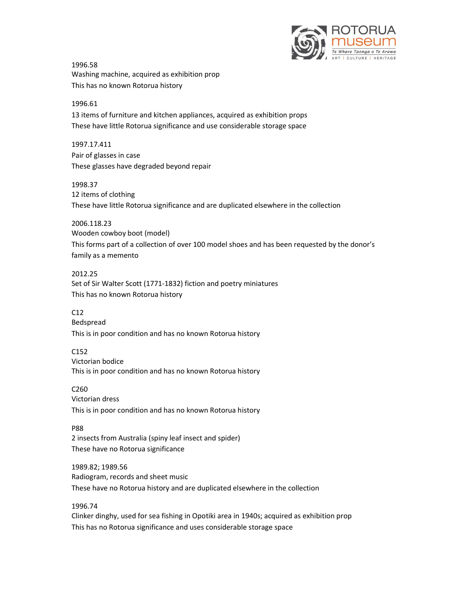

1996.58 Washing machine, acquired as exhibition prop This has no known Rotorua history

#### 1996.61

13 items of furniture and kitchen appliances, acquired as exhibition props These have little Rotorua significance and use considerable storage space

1997.17.411 Pair of glasses in case These glasses have degraded beyond repair

1998.37

12 items of clothing These have little Rotorua significance and are duplicated elsewhere in the collection

2006.118.23

Wooden cowboy boot (model) This forms part of a collection of over 100 model shoes and has been requested by the donor's family as a memento

2012.25

Set of Sir Walter Scott (1771-1832) fiction and poetry miniatures This has no known Rotorua history

C12

Bedspread

This is in poor condition and has no known Rotorua history

C152

Victorian bodice This is in poor condition and has no known Rotorua history

C260 Victorian dress This is in poor condition and has no known Rotorua history

P88

2 insects from Australia (spiny leaf insect and spider) These have no Rotorua significance

1989.82; 1989.56 Radiogram, records and sheet music These have no Rotorua history and are duplicated elsewhere in the collection

1996.74

Clinker dinghy, used for sea fishing in Opotiki area in 1940s; acquired as exhibition prop This has no Rotorua significance and uses considerable storage space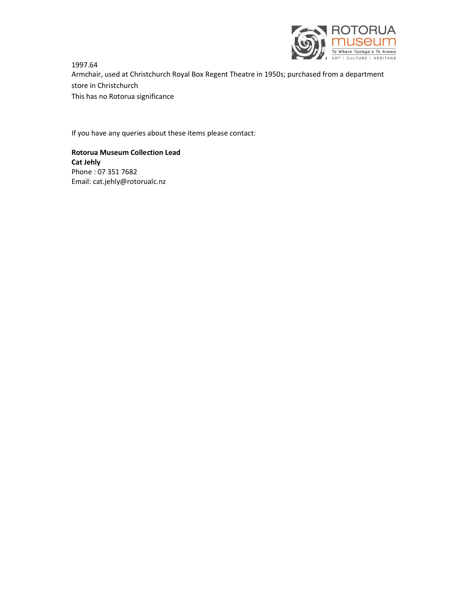

1997.64 Armchair, used at Christchurch Royal Box Regent Theatre in 1950s; purchased from a department store in Christchurch This has no Rotorua significance

If you have any queries about these items please contact:

Rotorua Museum Collection Lead Cat Jehly Phone : 07 351 7682 Email: cat.jehly@rotorualc.nz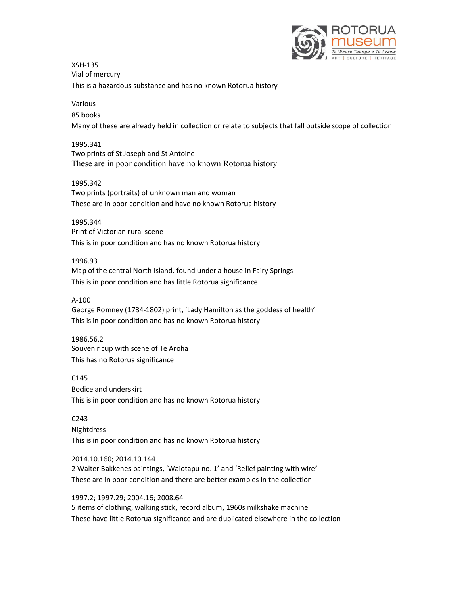

XSH-135 Vial of mercury This is a hazardous substance and has no known Rotorua history

## Various

85 books

Many of these are already held in collection or relate to subjects that fall outside scope of collection

## 1995.341

Two prints of St Joseph and St Antoine These are in poor condition have no known Rotorua history

## 1995.342

Two prints (portraits) of unknown man and woman These are in poor condition and have no known Rotorua history

#### 1995.344

Print of Victorian rural scene This is in poor condition and has no known Rotorua history

#### 1996.93

Map of the central North Island, found under a house in Fairy Springs This is in poor condition and has little Rotorua significance

## A-100

George Romney (1734-1802) print, 'Lady Hamilton as the goddess of health' This is in poor condition and has no known Rotorua history

# 1986.56.2

Souvenir cup with scene of Te Aroha This has no Rotorua significance

# C145

Bodice and underskirt This is in poor condition and has no known Rotorua history

# C243

**Nightdress** This is in poor condition and has no known Rotorua history

## 2014.10.160; 2014.10.144

2 Walter Bakkenes paintings, 'Waiotapu no. 1' and 'Relief painting with wire' These are in poor condition and there are better examples in the collection

## 1997.2; 1997.29; 2004.16; 2008.64

5 items of clothing, walking stick, record album, 1960s milkshake machine These have little Rotorua significance and are duplicated elsewhere in the collection